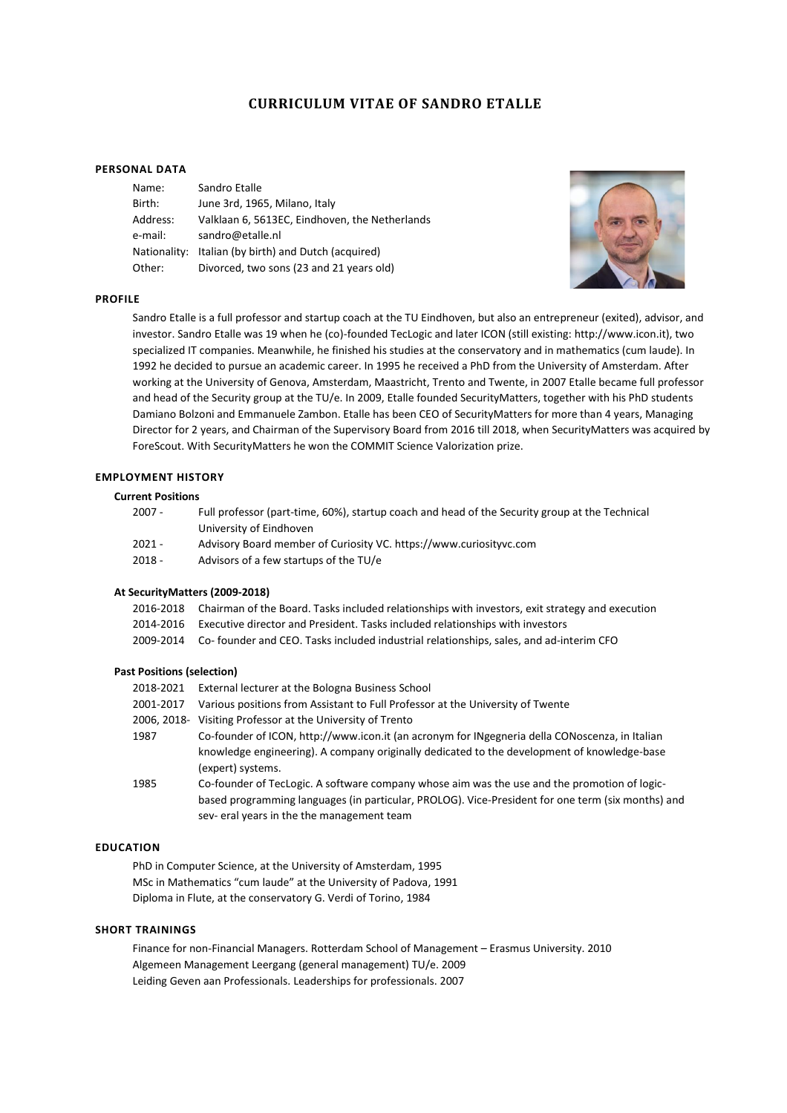# **CURRICULUM VITAE OF SANDRO ETALLE**

### **PERSONAL DATA**

| Sandro Etalle                                  |
|------------------------------------------------|
| June 3rd, 1965, Milano, Italy                  |
| Valklaan 6, 5613EC, Eindhoven, the Netherlands |
| sandro@etalle.nl                               |
| Italian (by birth) and Dutch (acquired)        |
| Divorced, two sons (23 and 21 years old)       |
|                                                |



#### **PROFILE**

Sandro Etalle is a full professor and startup coach at the TU Eindhoven, but also an entrepreneur (exited), advisor, and investor. Sandro Etalle was 19 when he (co)-founded TecLogic and later ICON (still existing: http://www.icon.it), two specialized IT companies. Meanwhile, he finished his studies at the conservatory and in mathematics (cum laude). In 1992 he decided to pursue an academic career. In 1995 he received a PhD from the University of Amsterdam. After working at the University of Genova, Amsterdam, Maastricht, Trento and Twente, in 2007 Etalle became full professor and head of the Security group at the TU/e. In 2009, Etalle founded SecurityMatters, together with his PhD students Damiano Bolzoni and Emmanuele Zambon. Etalle has been CEO of SecurityMatters for more than 4 years, Managing Director for 2 years, and Chairman of the Supervisory Board from 2016 till 2018, when SecurityMatters was acquired by ForeScout. With SecurityMatters he won the COMMIT Science Valorization prize.

### **EMPLOYMENT HISTORY**

### **Current Positions**

| $2007 -$ | Full professor (part-time, 60%), startup coach and head of the Security group at the Technical |
|----------|------------------------------------------------------------------------------------------------|
|          | University of Eindhoven                                                                        |
| $2021 -$ | Advisory Board member of Curiosity VC. https://www.curiosityvc.com                             |

- 
- 2018 Advisors of a few startups of the TU/e

#### **At SecurityMatters (2009-2018)**

- 2016-2018 Chairman of the Board. Tasks included relationships with investors, exit strategy and execution
- 2014-2016 Executive director and President. Tasks included relationships with investors
- 2009-2014 Co- founder and CEO. Tasks included industrial relationships, sales, and ad-interim CFO

### **Past Positions (selection)**

| 2018-2021   | External lecturer at the Bologna Business School                                                                                                                                                                                               |
|-------------|------------------------------------------------------------------------------------------------------------------------------------------------------------------------------------------------------------------------------------------------|
| 2001-2017   | Various positions from Assistant to Full Professor at the University of Twente                                                                                                                                                                 |
| 2006. 2018- | Visiting Professor at the University of Trento                                                                                                                                                                                                 |
| 1987        | Co-founder of ICON, http://www.icon.it (an acronym for INgegneria della CONoscenza, in Italian<br>knowledge engineering). A company originally dedicated to the development of knowledge-base<br>(expert) systems.                             |
| 1985        | Co-founder of TecLogic. A software company whose aim was the use and the promotion of logic-<br>based programming languages (in particular, PROLOG). Vice-President for one term (six months) and<br>sev-eral years in the the management team |

## **EDUCATION**

PhD in Computer Science, at the University of Amsterdam, 1995 MSc in Mathematics "cum laude" at the University of Padova, 1991 Diploma in Flute, at the conservatory G. Verdi of Torino, 1984

### **SHORT TRAININGS**

Finance for non-Financial Managers. Rotterdam School of Management – Erasmus University. 2010 Algemeen Management Leergang (general management) TU/e. 2009 Leiding Geven aan Professionals. Leaderships for professionals. 2007